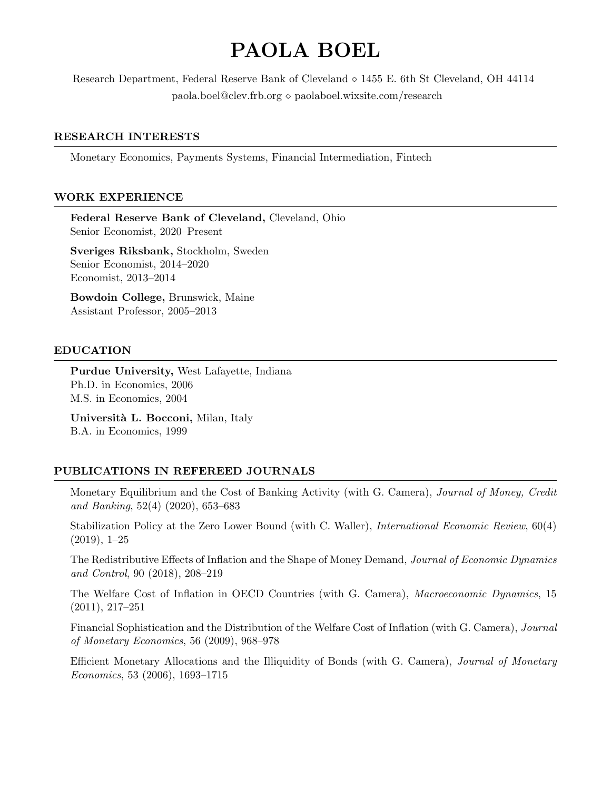# PAOLA BOEL

Research Department, Federal Reserve Bank of Cleveland  $\circ$  1455 E. 6th St Cleveland, OH 44114  $p_{\text{a}}$  paola.boel@clev.frb.org  $\diamond$  paolaboel.wixsite.com/research

#### RESEARCH INTERESTS

Monetary Economics, Payments Systems, Financial Intermediation, Fintech

#### WORK EXPERIENCE

Federal Reserve Bank of Cleveland, Cleveland, Ohio Senior Economist, 2020–Present

Sveriges Riksbank, Stockholm, Sweden Senior Economist, 2014–2020 Economist, 2013–2014

Bowdoin College, Brunswick, Maine Assistant Professor, 2005–2013

#### EDUCATION

Purdue University, West Lafayette, Indiana Ph.D. in Economics, 2006 M.S. in Economics, 2004

Università L. Bocconi, Milan, Italy B.A. in Economics, 1999

## PUBLICATIONS IN REFEREED JOURNALS

Monetary Equilibrium and the Cost of Banking Activity (with G. Camera), Journal of Money, Credit and Banking, 52(4) (2020), 653–683

Stabilization Policy at the Zero Lower Bound (with C. Waller), International Economic Review, 60(4) (2019), 1–25

The Redistributive Effects of Inflation and the Shape of Money Demand, Journal of Economic Dynamics and Control, 90 (2018), 208–219

The Welfare Cost of Inflation in OECD Countries (with G. Camera), Macroeconomic Dynamics, 15 (2011), 217–251

Financial Sophistication and the Distribution of the Welfare Cost of Inflation (with G. Camera), Journal of Monetary Economics, 56 (2009), 968–978

Efficient Monetary Allocations and the Illiquidity of Bonds (with G. Camera), Journal of Monetary Economics, 53 (2006), 1693–1715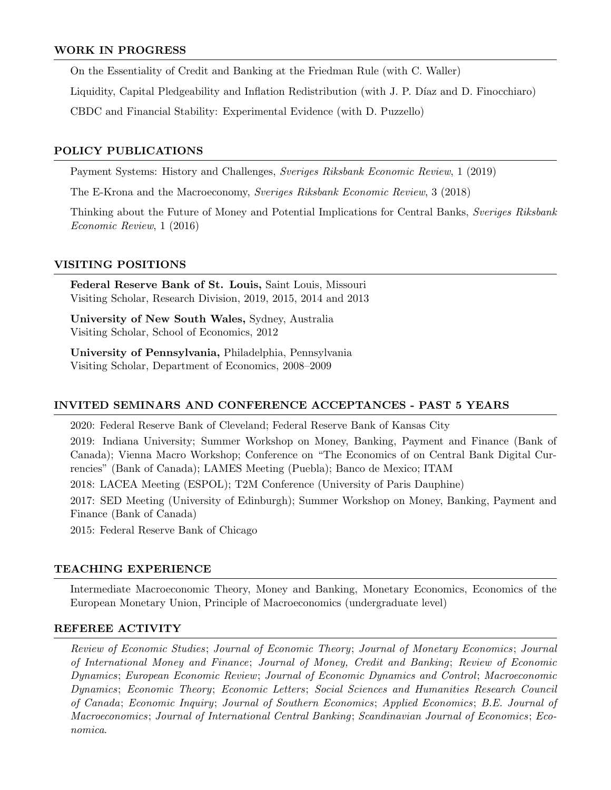#### WORK IN PROGRESS

On the Essentiality of Credit and Banking at the Friedman Rule (with C. Waller)

Liquidity, Capital Pledgeability and Inflation Redistribution (with J. P. Díaz and D. Finocchiaro)

CBDC and Financial Stability: Experimental Evidence (with D. Puzzello)

## POLICY PUBLICATIONS

Payment Systems: History and Challenges, Sveriges Riksbank Economic Review, 1 (2019)

The E-Krona and the Macroeconomy, Sveriges Riksbank Economic Review, 3 (2018)

Thinking about the Future of Money and Potential Implications for Central Banks, Sveriges Riksbank Economic Review, 1 (2016)

#### VISITING POSITIONS

Federal Reserve Bank of St. Louis, Saint Louis, Missouri Visiting Scholar, Research Division, 2019, 2015, 2014 and 2013

University of New South Wales, Sydney, Australia Visiting Scholar, School of Economics, 2012

University of Pennsylvania, Philadelphia, Pennsylvania Visiting Scholar, Department of Economics, 2008–2009

# INVITED SEMINARS AND CONFERENCE ACCEPTANCES - PAST 5 YEARS

2020: Federal Reserve Bank of Cleveland; Federal Reserve Bank of Kansas City

2019: Indiana University; Summer Workshop on Money, Banking, Payment and Finance (Bank of Canada); Vienna Macro Workshop; Conference on "The Economics of on Central Bank Digital Currencies" (Bank of Canada); LAMES Meeting (Puebla); Banco de Mexico; ITAM 2018: LACEA Meeting (ESPOL); T2M Conference (University of Paris Dauphine)

2017: SED Meeting (University of Edinburgh); Summer Workshop on Money, Banking, Payment and Finance (Bank of Canada)

2015: Federal Reserve Bank of Chicago

## TEACHING EXPERIENCE

Intermediate Macroeconomic Theory, Money and Banking, Monetary Economics, Economics of the European Monetary Union, Principle of Macroeconomics (undergraduate level)

## REFEREE ACTIVITY

Review of Economic Studies; Journal of Economic Theory; Journal of Monetary Economics; Journal of International Money and Finance; Journal of Money, Credit and Banking; Review of Economic Dynamics; European Economic Review; Journal of Economic Dynamics and Control; Macroeconomic Dynamics; Economic Theory; Economic Letters; Social Sciences and Humanities Research Council of Canada; Economic Inquiry; Journal of Southern Economics; Applied Economics; B.E. Journal of Macroeconomics; Journal of International Central Banking; Scandinavian Journal of Economics; Economica.